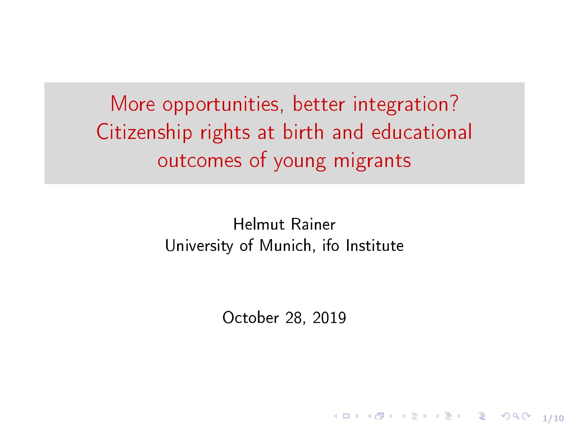More opportunities, better integration? Citizenship rights at birth and educational outcomes of young migrants

> Helmut Rainer University of Munich, ifo Institute

> > October 28, 2019

1/10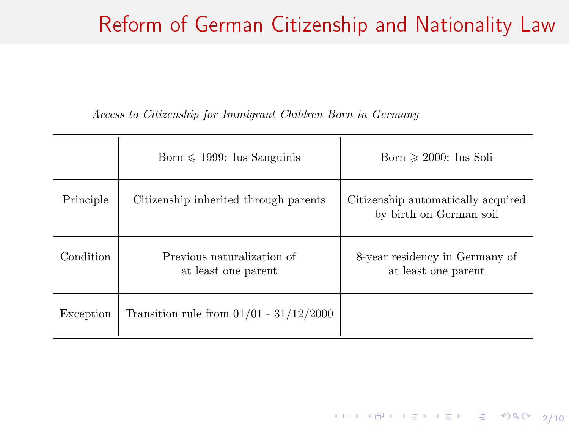## Reform of German Citizenship and Nationality Law

Access to Citizenship for Immigrant Children Born in Germany

|           | Born $\leq 1999$ : Ius Sanguinis                  | Born $\geq 2000$ : Ius Soli                                   |
|-----------|---------------------------------------------------|---------------------------------------------------------------|
| Principle | Citizenship inherited through parents             | Citizenship automatically acquired<br>by birth on German soil |
| Condition | Previous naturalization of<br>at least one parent | 8-year residency in Germany of<br>at least one parent         |
| Exception | Transition rule from $01/01 - 31/12/2000$         |                                                               |

4 미 ▶ 4 @ ▶ 4 를 ▶ 4 를 ▶ - 를 - ⊙ 9 Q 0 - 2/10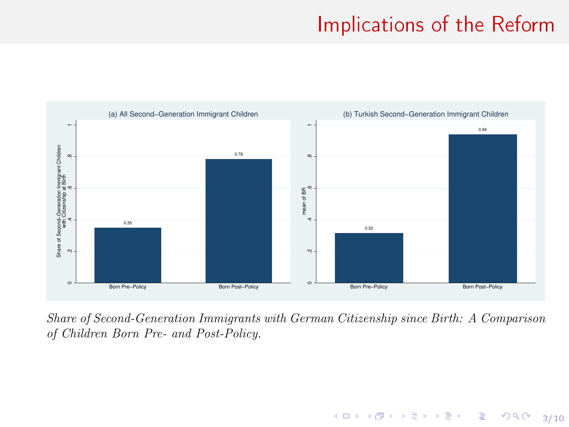## **Implications of the Reform**

4 미 > 4 레 > 4 페 > 4 페 > 네 페 > 최 > 이익단 - 3/10



Share of Second-Generation Immigrants with German Citizenship since Birth: A Comparison of Children Born Pre- and Post-Policy.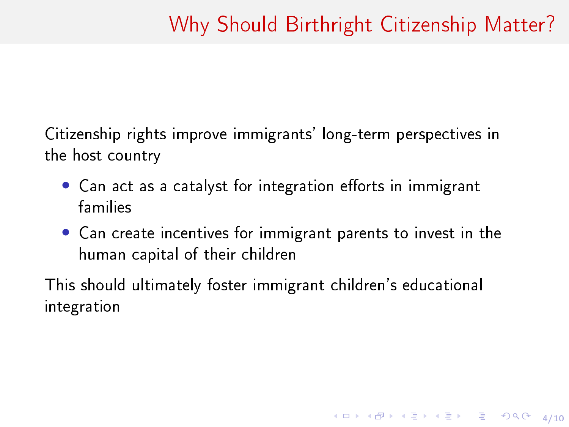4/ 미 ▶ 4/ 레 ▶ 4/ 로 ▶ 4/로 ▶ 그 로 → 9/ 여 0 4/ 10

Citizenship rights improve immigrants' long-term perspectives in the host country

- Can act as a catalyst for integration efforts in immigrant families
- Can create incentives for immigrant parents to invest in the human capital of their children

This should ultimately foster immigrant children's educational integration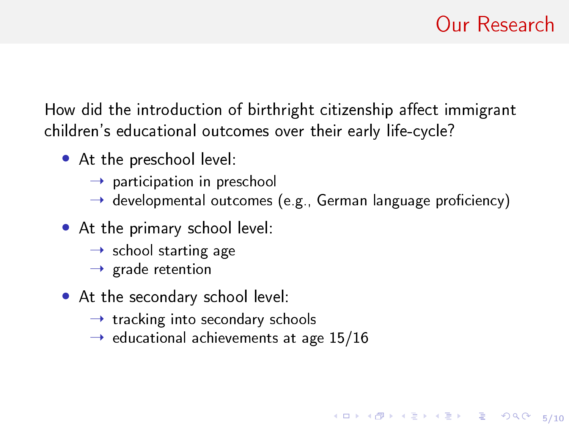5/10

How did the introduction of birthright citizenship affect immigrant children's educational outcomes over their early life-cycle?

- At the preschool level:
	- $\rightarrow$  participation in preschool
	- $\rightarrow$  developmental outcomes (e.g., German language proficiency)
- At the primary school level:
	- $\rightarrow$  school starting age
	- $\rightarrow$  grade retention
- At the secondary school level:
	- $\rightarrow$  tracking into secondary schools
	- $\rightarrow$  educational achievements at age 15/16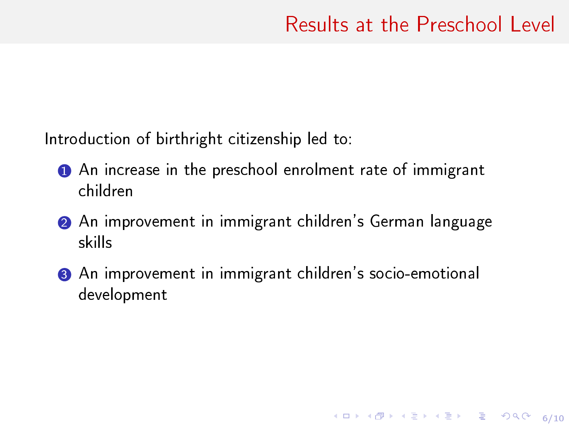6/10

Introduction of birthright citizenship led to:

- **1** An increase in the preschool enrolment rate of immigrant children
- 2 An improvement in immigrant children's German language skills
- 3 An improvement in immigrant children's socio-emotional development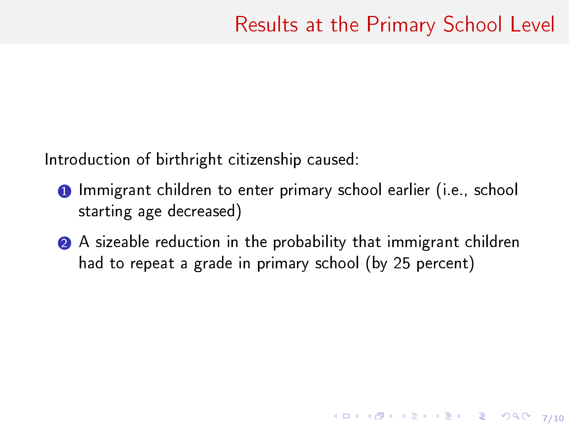4/ 미 → 4/ 메 → 4/ 4/ 4/ 포 → 3/ 포 → 3/ 9/ 9/ 0 × 7/ 10

Introduction of birthright citizenship caused:

- **1** Immigrant children to enter primary school earlier (i.e., school starting age decreased)
- 2 A sizeable reduction in the probability that immigrant children had to repeat a grade in primary school (by 25 percent)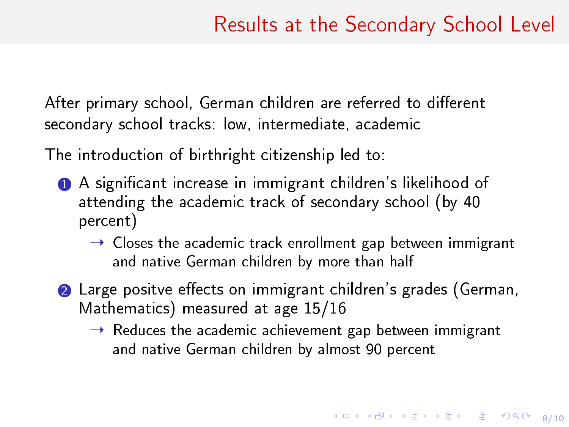After primary school, German children are referred to different secondary school tracks: low, intermediate, academic

The introduction of birthright citizenship led to:

- 1 A signicant increase in immigrant children's likelihood of attending the academic track of secondary school (by 40 percent)
	- $\rightarrow$  Closes the academic track enrollment gap between immigrant and native German children by more than half
- **2** Large positve effects on immigrant children's grades (German, Mathematics) measured at age 15/16
	- $\rightarrow$  Reduces the academic achievement gap between immigrant and native German children by almost 90 percent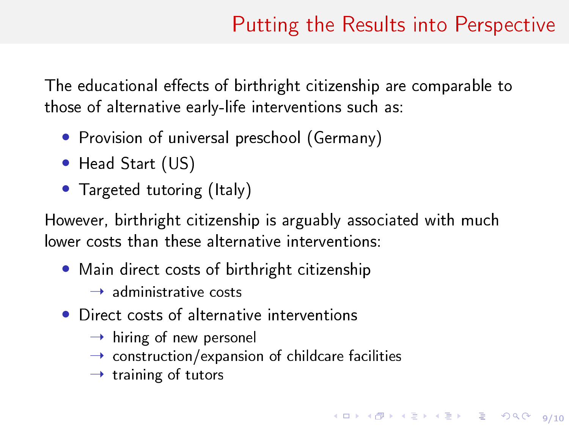4 ロ ▶ 4 @ ▶ 4 로 ▶ 4 로 ▶ - 로 - 900 0 9/10

<span id="page-8-0"></span>The educational effects of birthright citizenship are comparable to those of alternative early-life interventions such as:

- Provision of universal preschool (Germany)
- Head Start (US)
- Targeted tutoring (Italy)

However, birthright citizenship is arguably associated with much lower costs than these alternative interventions:

• Main direct costs of birthright citizenship

 $\rightarrow$  administrative costs

- Direct costs of alternative interventions
	- $\rightarrow$  hiring of new personel
	- $\rightarrow$  construction/expansion of childcare facilities
	- $\rightarrow$  training of tutors